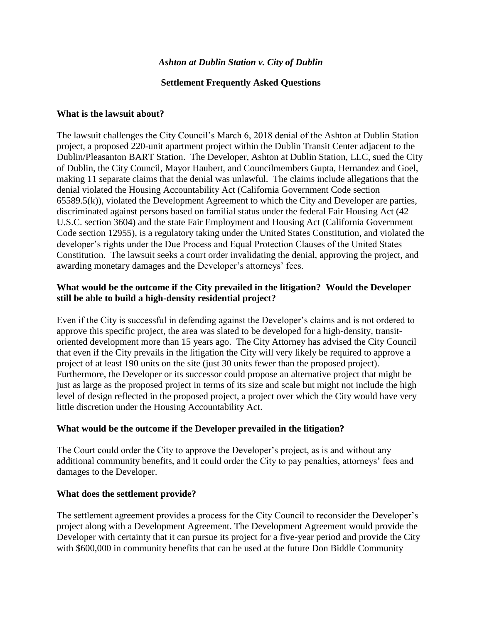#### *Ashton at Dublin Station v. City of Dublin*

#### **Settlement Frequently Asked Questions**

#### **What is the lawsuit about?**

The lawsuit challenges the City Council's March 6, 2018 denial of the Ashton at Dublin Station project, a proposed 220-unit apartment project within the Dublin Transit Center adjacent to the Dublin/Pleasanton BART Station. The Developer, Ashton at Dublin Station, LLC, sued the City of Dublin, the City Council, Mayor Haubert, and Councilmembers Gupta, Hernandez and Goel, making 11 separate claims that the denial was unlawful. The claims include allegations that the denial violated the Housing Accountability Act (California Government Code section 65589.5(k)), violated the Development Agreement to which the City and Developer are parties, discriminated against persons based on familial status under the federal Fair Housing Act (42 U.S.C. section 3604) and the state Fair Employment and Housing Act (California Government Code section 12955), is a regulatory taking under the United States Constitution, and violated the developer's rights under the Due Process and Equal Protection Clauses of the United States Constitution. The lawsuit seeks a court order invalidating the denial, approving the project, and awarding monetary damages and the Developer's attorneys' fees.

#### **What would be the outcome if the City prevailed in the litigation? Would the Developer still be able to build a high-density residential project?**

Even if the City is successful in defending against the Developer's claims and is not ordered to approve this specific project, the area was slated to be developed for a high-density, transitoriented development more than 15 years ago. The City Attorney has advised the City Council that even if the City prevails in the litigation the City will very likely be required to approve a project of at least 190 units on the site (just 30 units fewer than the proposed project). Furthermore, the Developer or its successor could propose an alternative project that might be just as large as the proposed project in terms of its size and scale but might not include the high level of design reflected in the proposed project, a project over which the City would have very little discretion under the Housing Accountability Act.

#### **What would be the outcome if the Developer prevailed in the litigation?**

The Court could order the City to approve the Developer's project, as is and without any additional community benefits, and it could order the City to pay penalties, attorneys' fees and damages to the Developer.

#### **What does the settlement provide?**

The settlement agreement provides a process for the City Council to reconsider the Developer's project along with a Development Agreement. The Development Agreement would provide the Developer with certainty that it can pursue its project for a five-year period and provide the City with \$600,000 in community benefits that can be used at the future Don Biddle Community